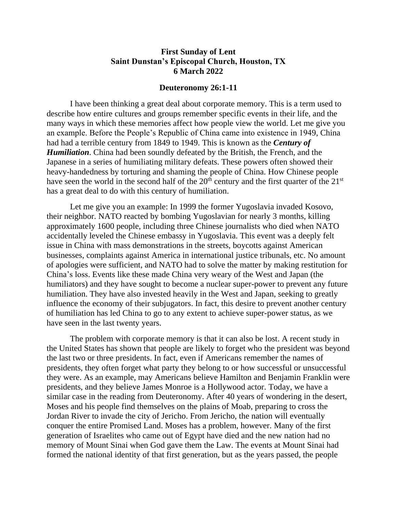## **First Sunday of Lent Saint Dunstan's Episcopal Church, Houston, TX 6 March 2022**

## **Deuteronomy 26:1-11**

I have been thinking a great deal about corporate memory. This is a term used to describe how entire cultures and groups remember specific events in their life, and the many ways in which these memories affect how people view the world. Let me give you an example. Before the People's Republic of China came into existence in 1949, China had had a terrible century from 1849 to 1949. This is known as the *Century of Humiliation*. China had been soundly defeated by the British, the French, and the Japanese in a series of humiliating military defeats. These powers often showed their heavy-handedness by torturing and shaming the people of China. How Chinese people have seen the world in the second half of the  $20<sup>th</sup>$  century and the first quarter of the  $21<sup>st</sup>$ has a great deal to do with this century of humiliation.

Let me give you an example: In 1999 the former Yugoslavia invaded Kosovo, their neighbor. NATO reacted by bombing Yugoslavian for nearly 3 months, killing approximately 1600 people, including three Chinese journalists who died when NATO accidentally leveled the Chinese embassy in Yugoslavia. This event was a deeply felt issue in China with mass demonstrations in the streets, boycotts against American businesses, complaints against America in international justice tribunals, etc. No amount of apologies were sufficient, and NATO had to solve the matter by making restitution for China's loss. Events like these made China very weary of the West and Japan (the humiliators) and they have sought to become a nuclear super-power to prevent any future humiliation. They have also invested heavily in the West and Japan, seeking to greatly influence the economy of their subjugators. In fact, this desire to prevent another century of humiliation has led China to go to any extent to achieve super-power status, as we have seen in the last twenty years.

The problem with corporate memory is that it can also be lost. A recent study in the United States has shown that people are likely to forget who the president was beyond the last two or three presidents. In fact, even if Americans remember the names of presidents, they often forget what party they belong to or how successful or unsuccessful they were. As an example, may Americans believe Hamilton and Benjamin Franklin were presidents, and they believe James Monroe is a Hollywood actor. Today, we have a similar case in the reading from Deuteronomy. After 40 years of wondering in the desert, Moses and his people find themselves on the plains of Moab, preparing to cross the Jordan River to invade the city of Jericho. From Jericho, the nation will eventually conquer the entire Promised Land. Moses has a problem, however. Many of the first generation of Israelites who came out of Egypt have died and the new nation had no memory of Mount Sinai when God gave them the Law. The events at Mount Sinai had formed the national identity of that first generation, but as the years passed, the people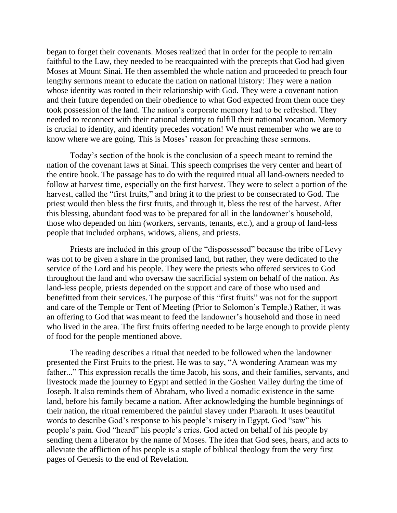began to forget their covenants. Moses realized that in order for the people to remain faithful to the Law, they needed to be reacquainted with the precepts that God had given Moses at Mount Sinai. He then assembled the whole nation and proceeded to preach four lengthy sermons meant to educate the nation on national history: They were a nation whose identity was rooted in their relationship with God. They were a covenant nation and their future depended on their obedience to what God expected from them once they took possession of the land. The nation's corporate memory had to be refreshed. They needed to reconnect with their national identity to fulfill their national vocation. Memory is crucial to identity, and identity precedes vocation! We must remember who we are to know where we are going. This is Moses' reason for preaching these sermons.

Today's section of the book is the conclusion of a speech meant to remind the nation of the covenant laws at Sinai. This speech comprises the very center and heart of the entire book. The passage has to do with the required ritual all land-owners needed to follow at harvest time, especially on the first harvest. They were to select a portion of the harvest, called the "first fruits," and bring it to the priest to be consecrated to God. The priest would then bless the first fruits, and through it, bless the rest of the harvest. After this blessing, abundant food was to be prepared for all in the landowner's household, those who depended on him (workers, servants, tenants, etc.), and a group of land-less people that included orphans, widows, aliens, and priests.

Priests are included in this group of the "dispossessed" because the tribe of Levy was not to be given a share in the promised land, but rather, they were dedicated to the service of the Lord and his people. They were the priests who offered services to God throughout the land and who oversaw the sacrificial system on behalf of the nation. As land-less people, priests depended on the support and care of those who used and benefitted from their services. The purpose of this "first fruits" was not for the support and care of the Temple or Tent of Meeting (Prior to Solomon's Temple.) Rather, it was an offering to God that was meant to feed the landowner's household and those in need who lived in the area. The first fruits offering needed to be large enough to provide plenty of food for the people mentioned above.

The reading describes a ritual that needed to be followed when the landowner presented the First Fruits to the priest. He was to say, "A wondering Aramean was my father..." This expression recalls the time Jacob, his sons, and their families, servants, and livestock made the journey to Egypt and settled in the Goshen Valley during the time of Joseph. It also reminds them of Abraham, who lived a nomadic existence in the same land, before his family became a nation. After acknowledging the humble beginnings of their nation, the ritual remembered the painful slavey under Pharaoh. It uses beautiful words to describe God's response to his people's misery in Egypt. God "saw" his people's pain. God "heard" his people's cries. God acted on behalf of his people by sending them a liberator by the name of Moses. The idea that God sees, hears, and acts to alleviate the affliction of his people is a staple of biblical theology from the very first pages of Genesis to the end of Revelation.